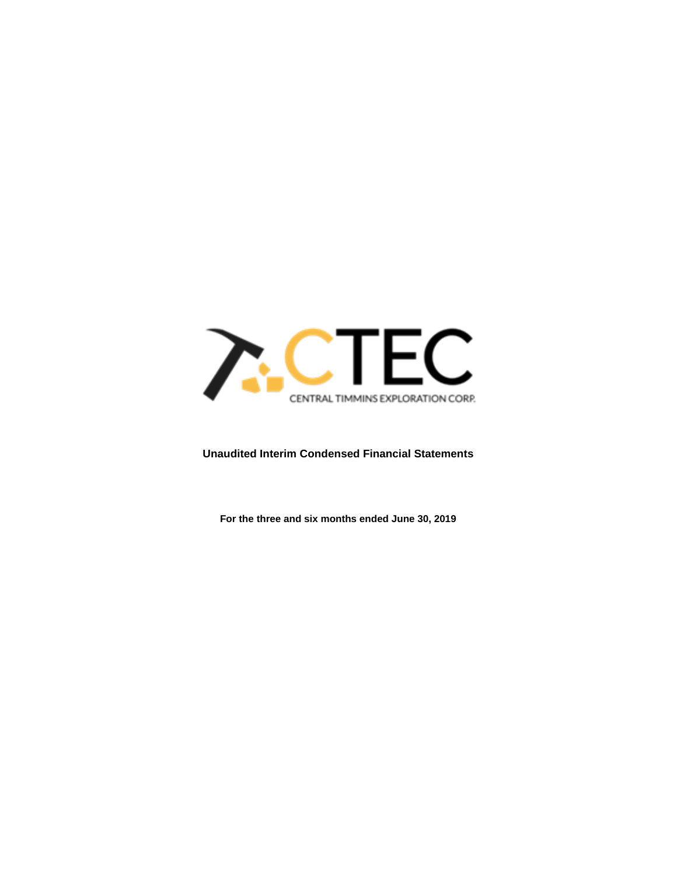

# **Unaudited Interim Condensed Financial Statements**

**For the three and six months ended June 30, 2019**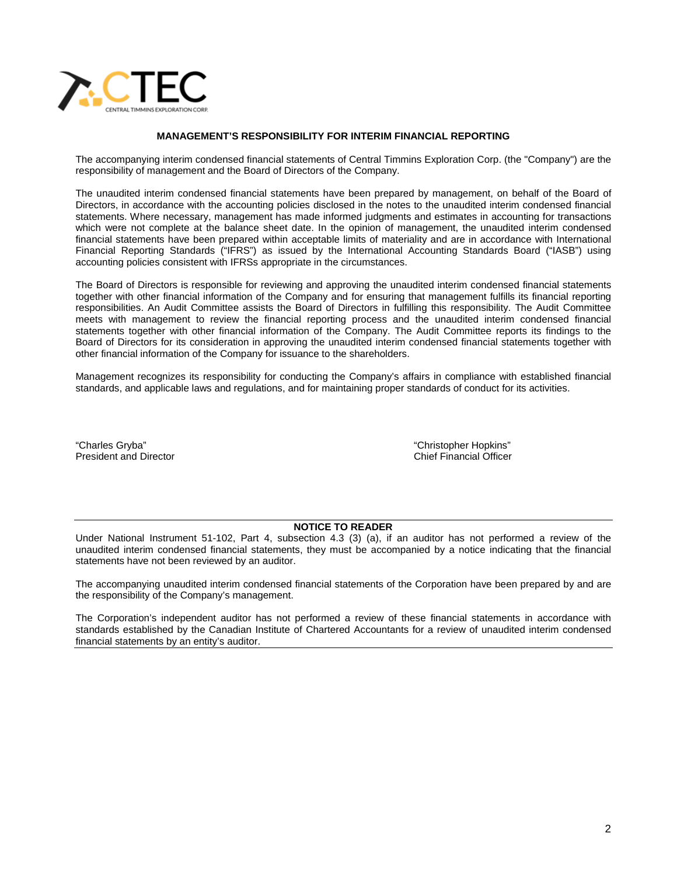

### **MANAGEMENT'S RESPONSIBILITY FOR INTERIM FINANCIAL REPORTING**

The accompanying interim condensed financial statements of Central Timmins Exploration Corp. (the "Company") are the responsibility of management and the Board of Directors of the Company.

The unaudited interim condensed financial statements have been prepared by management, on behalf of the Board of Directors, in accordance with the accounting policies disclosed in the notes to the unaudited interim condensed financial statements. Where necessary, management has made informed judgments and estimates in accounting for transactions which were not complete at the balance sheet date. In the opinion of management, the unaudited interim condensed financial statements have been prepared within acceptable limits of materiality and are in accordance with International Financial Reporting Standards ("IFRS") as issued by the International Accounting Standards Board ("IASB") using accounting policies consistent with IFRSs appropriate in the circumstances.

The Board of Directors is responsible for reviewing and approving the unaudited interim condensed financial statements together with other financial information of the Company and for ensuring that management fulfills its financial reporting responsibilities. An Audit Committee assists the Board of Directors in fulfilling this responsibility. The Audit Committee meets with management to review the financial reporting process and the unaudited interim condensed financial statements together with other financial information of the Company. The Audit Committee reports its findings to the Board of Directors for its consideration in approving the unaudited interim condensed financial statements together with other financial information of the Company for issuance to the shareholders.

Management recognizes its responsibility for conducting the Company's affairs in compliance with established financial standards, and applicable laws and regulations, and for maintaining proper standards of conduct for its activities.

"Charles Gryba" "Christopher Hopkins" President and Director

### **NOTICE TO READER**

Under National Instrument 51-102, Part 4, subsection 4.3 (3) (a), if an auditor has not performed a review of the unaudited interim condensed financial statements, they must be accompanied by a notice indicating that the financial statements have not been reviewed by an auditor.

The accompanying unaudited interim condensed financial statements of the Corporation have been prepared by and are the responsibility of the Company's management.

The Corporation's independent auditor has not performed a review of these financial statements in accordance with standards established by the Canadian Institute of Chartered Accountants for a review of unaudited interim condensed financial statements by an entity's auditor.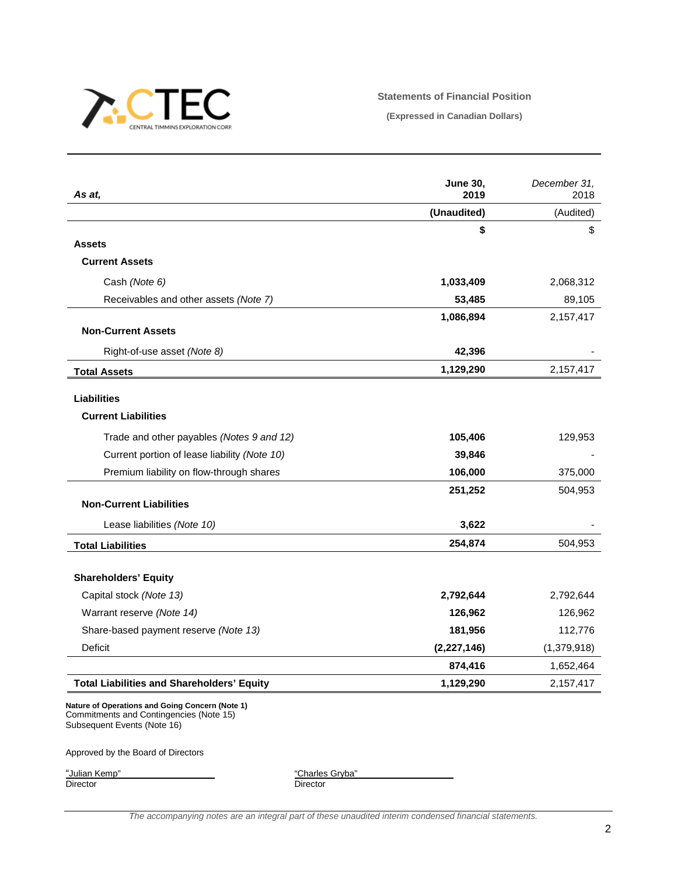

### **Statements of Financial Position**

**(Expressed in Canadian Dollars)**

| As at,                                            | <b>June 30,</b><br>2019 | December 31,<br>2018 |
|---------------------------------------------------|-------------------------|----------------------|
|                                                   | (Unaudited)             | (Audited)            |
|                                                   | \$                      | \$                   |
| <b>Assets</b>                                     |                         |                      |
| <b>Current Assets</b>                             |                         |                      |
| Cash (Note 6)                                     | 1,033,409               | 2,068,312            |
| Receivables and other assets (Note 7)             | 53,485                  | 89,105               |
|                                                   | 1,086,894               | 2,157,417            |
| <b>Non-Current Assets</b>                         |                         |                      |
| Right-of-use asset (Note 8)                       | 42,396                  |                      |
| <b>Total Assets</b>                               | 1,129,290               | 2,157,417            |
| <b>Liabilities</b>                                |                         |                      |
| <b>Current Liabilities</b>                        |                         |                      |
| Trade and other payables (Notes 9 and 12)         | 105,406                 | 129,953              |
| Current portion of lease liability (Note 10)      | 39,846                  |                      |
| Premium liability on flow-through shares          | 106,000                 | 375,000              |
|                                                   | 251,252                 | 504,953              |
| <b>Non-Current Liabilities</b>                    |                         |                      |
| Lease liabilities (Note 10)                       | 3,622                   |                      |
| <b>Total Liabilities</b>                          | 254,874                 | 504,953              |
| <b>Shareholders' Equity</b>                       |                         |                      |
| Capital stock (Note 13)                           | 2,792,644               | 2,792,644            |
| Warrant reserve (Note 14)                         | 126,962                 | 126,962              |
| Share-based payment reserve (Note 13)             | 181,956                 | 112,776              |
| Deficit                                           | (2, 227, 146)           | (1,379,918)          |
|                                                   | 874,416                 | 1,652,464            |
| <b>Total Liabilities and Shareholders' Equity</b> | 1,129,290               | 2,157,417            |

**Nature of Operations and Going Concern (Note 1)** Commitments and Contingencies (Note 15) Subsequent Events (Note 16)

Approved by the Board of Directors

"Julian Kemp"<br>Director

"Charles Gryba"<br>Director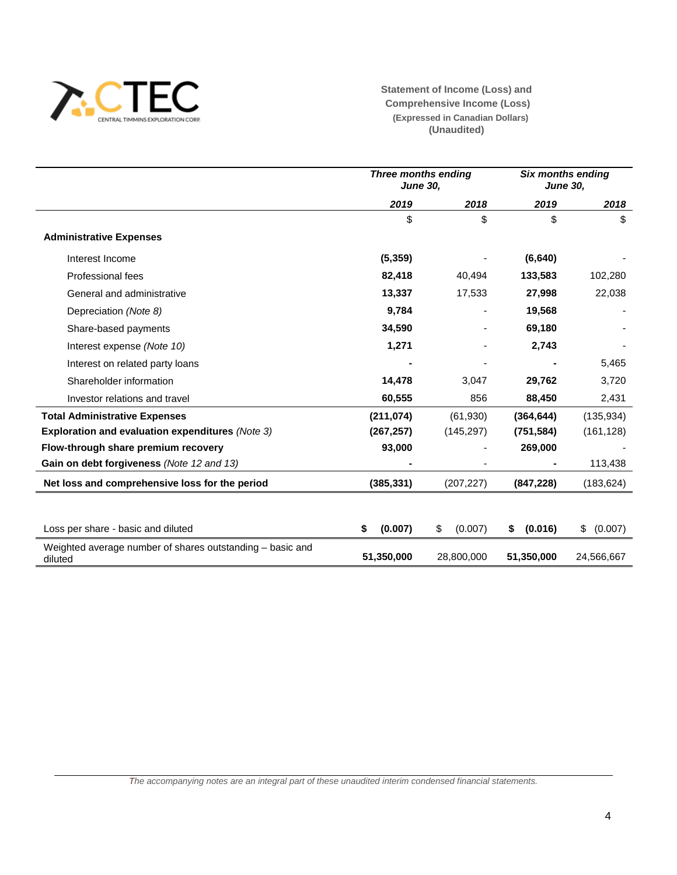

**Statement of Income (Loss) and Comprehensive Income (Loss) (Expressed in Canadian Dollars) (Unaudited)**

|                                                                      | Three months ending<br><b>June 30,</b> |               | Six months ending<br><b>June 30,</b> |               |  |
|----------------------------------------------------------------------|----------------------------------------|---------------|--------------------------------------|---------------|--|
|                                                                      | 2019                                   | 2018          | 2019                                 | 2018          |  |
|                                                                      | \$                                     | \$            | \$                                   | \$            |  |
| <b>Administrative Expenses</b>                                       |                                        |               |                                      |               |  |
| Interest Income                                                      | (5, 359)                               |               | (6, 640)                             |               |  |
| Professional fees                                                    | 82,418                                 | 40,494        | 133,583                              | 102,280       |  |
| General and administrative                                           | 13,337                                 | 17,533        | 27,998                               | 22,038        |  |
| Depreciation (Note 8)                                                | 9,784                                  |               | 19,568                               |               |  |
| Share-based payments                                                 | 34,590                                 |               | 69,180                               |               |  |
| Interest expense (Note 10)                                           | 1,271                                  |               | 2,743                                |               |  |
| Interest on related party loans                                      |                                        |               |                                      | 5,465         |  |
| Shareholder information                                              | 14,478                                 | 3,047         | 29,762                               | 3,720         |  |
| Investor relations and travel                                        | 60,555                                 | 856           | 88,450                               | 2,431         |  |
| <b>Total Administrative Expenses</b>                                 | (211, 074)                             | (61,930)      | (364, 644)                           | (135, 934)    |  |
| <b>Exploration and evaluation expenditures (Note 3)</b>              | (267, 257)                             | (145, 297)    | (751, 584)                           | (161, 128)    |  |
| Flow-through share premium recovery                                  | 93,000                                 |               | 269,000                              |               |  |
| Gain on debt forgiveness (Note 12 and 13)                            |                                        |               |                                      | 113,438       |  |
| Net loss and comprehensive loss for the period                       | (385, 331)                             | (207, 227)    | (847, 228)                           | (183, 624)    |  |
|                                                                      |                                        |               |                                      |               |  |
| Loss per share - basic and diluted                                   | (0.007)<br>S                           | (0.007)<br>\$ | (0.016)<br>\$                        | (0.007)<br>\$ |  |
| Weighted average number of shares outstanding – basic and<br>diluted | 51,350,000                             | 28,800,000    | 51,350,000                           | 24.566.667    |  |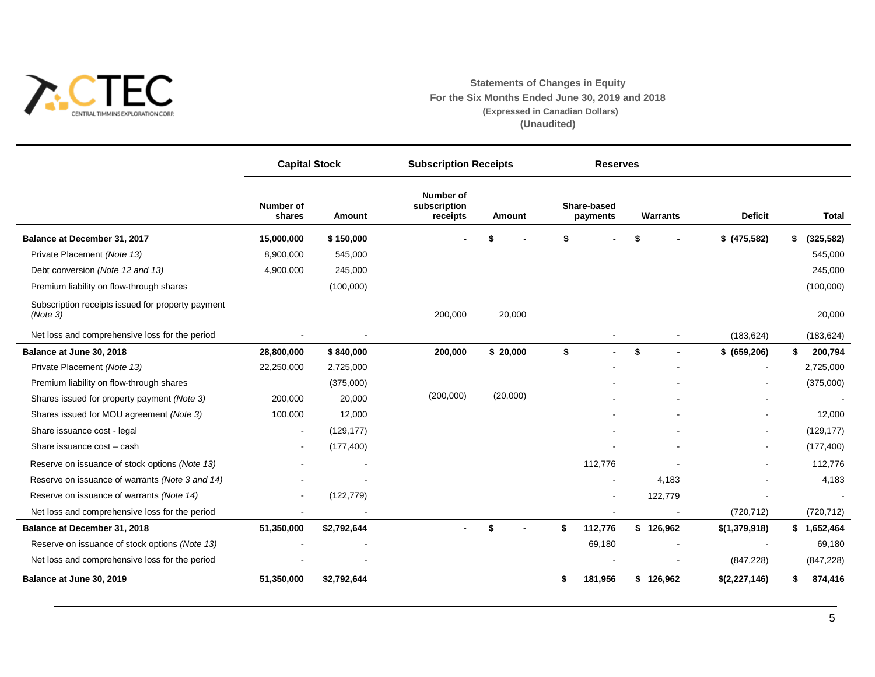

# **Statements of Changes in Equity For the Six Months Ended June 30, 2019 and 2018 (Expressed in Canadian Dollars) (Unaudited)**

|                                                               | <b>Capital Stock</b>     |             | <b>Subscription Receipts</b>                 |          | <b>Reserves</b> |                         |                 |                |                  |
|---------------------------------------------------------------|--------------------------|-------------|----------------------------------------------|----------|-----------------|-------------------------|-----------------|----------------|------------------|
|                                                               | Number of<br>shares      | Amount      | <b>Number of</b><br>subscription<br>receipts | Amount   |                 | Share-based<br>payments | <b>Warrants</b> | <b>Deficit</b> | <b>Total</b>     |
| Balance at December 31, 2017                                  | 15,000,000               | \$150,000   |                                              |          |                 |                         |                 | \$ (475,582)   | \$<br>(325, 582) |
| Private Placement (Note 13)                                   | 8,900,000                | 545,000     |                                              |          |                 |                         |                 |                | 545,000          |
| Debt conversion (Note 12 and 13)                              | 4,900,000                | 245,000     |                                              |          |                 |                         |                 |                | 245,000          |
| Premium liability on flow-through shares                      |                          | (100,000)   |                                              |          |                 |                         |                 |                | (100,000)        |
| Subscription receipts issued for property payment<br>(Note 3) |                          |             | 200,000                                      | 20,000   |                 |                         |                 |                | 20,000           |
| Net loss and comprehensive loss for the period                |                          |             |                                              |          |                 |                         |                 | (183, 624)     | (183, 624)       |
| Balance at June 30, 2018                                      | 28,800,000               | \$840,000   | 200,000                                      | \$20,000 | \$              | $\blacksquare$          | \$              | \$ (659, 206)  | \$<br>200,794    |
| Private Placement (Note 13)                                   | 22,250,000               | 2,725,000   |                                              |          |                 |                         |                 |                | 2,725,000        |
| Premium liability on flow-through shares                      |                          | (375,000)   |                                              |          |                 |                         |                 |                | (375,000)        |
| Shares issued for property payment (Note 3)                   | 200,000                  | 20,000      | (200,000)                                    | (20,000) |                 |                         |                 |                |                  |
| Shares issued for MOU agreement (Note 3)                      | 100,000                  | 12,000      |                                              |          |                 |                         |                 |                | 12,000           |
| Share issuance cost - legal                                   | $\overline{\phantom{a}}$ | (129, 177)  |                                              |          |                 |                         |                 |                | (129, 177)       |
| Share issuance cost - cash                                    |                          | (177, 400)  |                                              |          |                 |                         |                 |                | (177, 400)       |
| Reserve on issuance of stock options (Note 13)                |                          |             |                                              |          |                 | 112,776                 |                 |                | 112,776          |
| Reserve on issuance of warrants (Note 3 and 14)               |                          |             |                                              |          |                 |                         | 4,183           |                | 4,183            |
| Reserve on issuance of warrants (Note 14)                     |                          | (122, 779)  |                                              |          |                 |                         | 122,779         |                |                  |
| Net loss and comprehensive loss for the period                |                          |             |                                              |          |                 |                         |                 | (720, 712)     | (720, 712)       |
| Balance at December 31, 2018                                  | 51,350,000               | \$2,792,644 |                                              | \$       | \$              | 112,776                 | \$126,962       | \$(1,379,918)  | \$1,652,464      |
| Reserve on issuance of stock options (Note 13)                |                          |             |                                              |          |                 | 69,180                  |                 |                | 69,180           |
| Net loss and comprehensive loss for the period                |                          |             |                                              |          |                 |                         |                 | (847, 228)     | (847, 228)       |
| Balance at June 30, 2019                                      | 51,350,000               | \$2,792,644 |                                              |          | \$              | 181,956                 | \$126,962       | \$(2,227,146)  | \$<br>874,416    |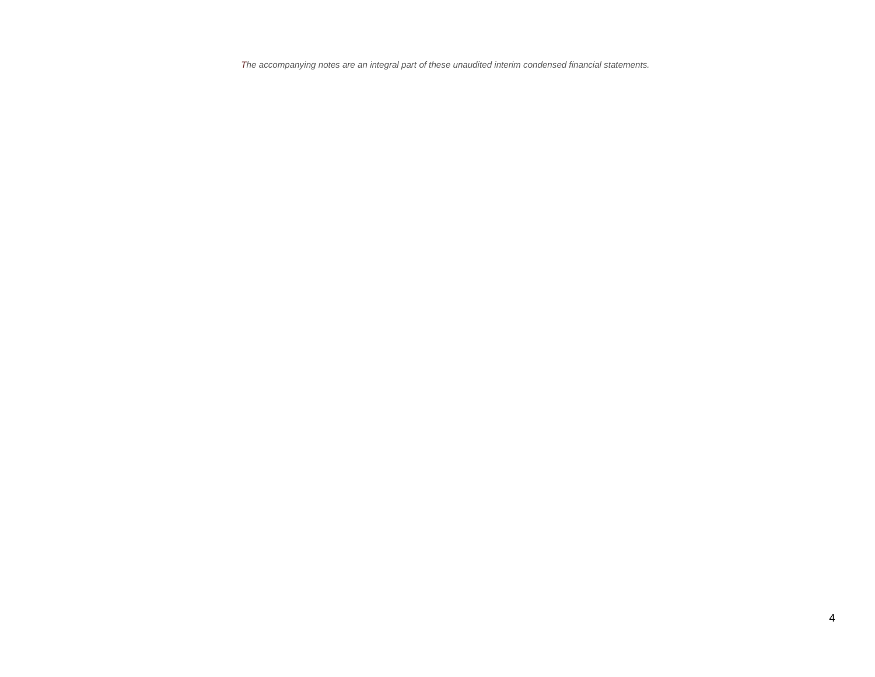*The accompanying notes are an integral part of these unaudited interim condensed financial statements.*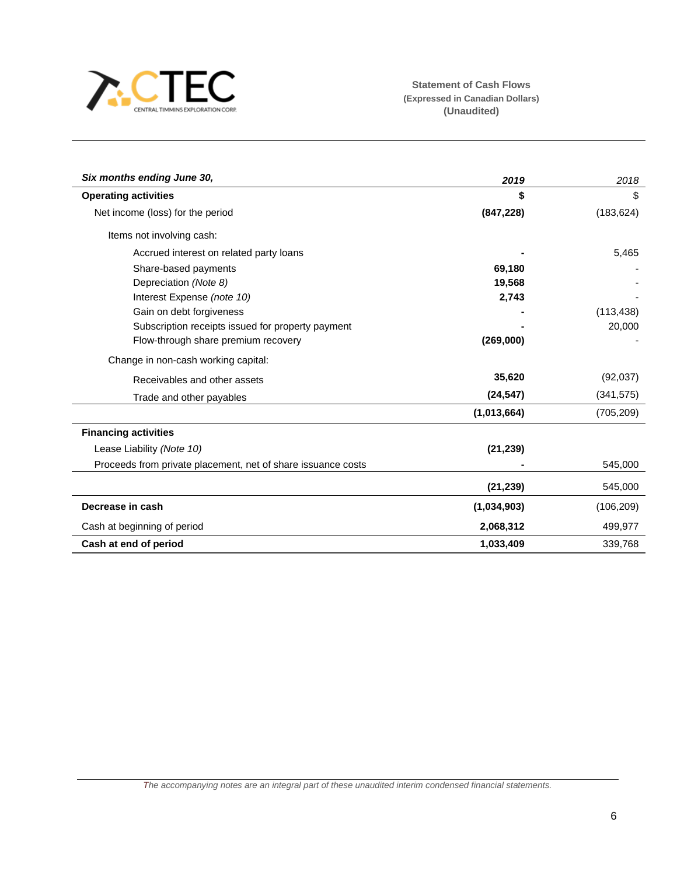

| Six months ending June 30,                                   | 2019        | 2018       |
|--------------------------------------------------------------|-------------|------------|
| <b>Operating activities</b>                                  |             | \$         |
| Net income (loss) for the period                             | (847, 228)  | (183, 624) |
| Items not involving cash:                                    |             |            |
| Accrued interest on related party loans                      |             | 5,465      |
| Share-based payments                                         | 69,180      |            |
| Depreciation (Note 8)                                        | 19,568      |            |
| Interest Expense (note 10)                                   | 2,743       |            |
| Gain on debt forgiveness                                     |             | (113, 438) |
| Subscription receipts issued for property payment            |             | 20,000     |
| Flow-through share premium recovery                          | (269,000)   |            |
| Change in non-cash working capital:                          |             |            |
| Receivables and other assets                                 | 35,620      | (92,037)   |
| Trade and other payables                                     | (24, 547)   | (341, 575) |
|                                                              | (1,013,664) | (705, 209) |
| <b>Financing activities</b>                                  |             |            |
| Lease Liability (Note 10)                                    | (21, 239)   |            |
| Proceeds from private placement, net of share issuance costs |             | 545,000    |
|                                                              | (21, 239)   | 545,000    |
| Decrease in cash                                             | (1,034,903) | (106, 209) |
| Cash at beginning of period                                  | 2,068,312   | 499,977    |
| Cash at end of period                                        | 1,033,409   | 339,768    |

*The accompanying notes are an integral part of these unaudited interim condensed financial statements.*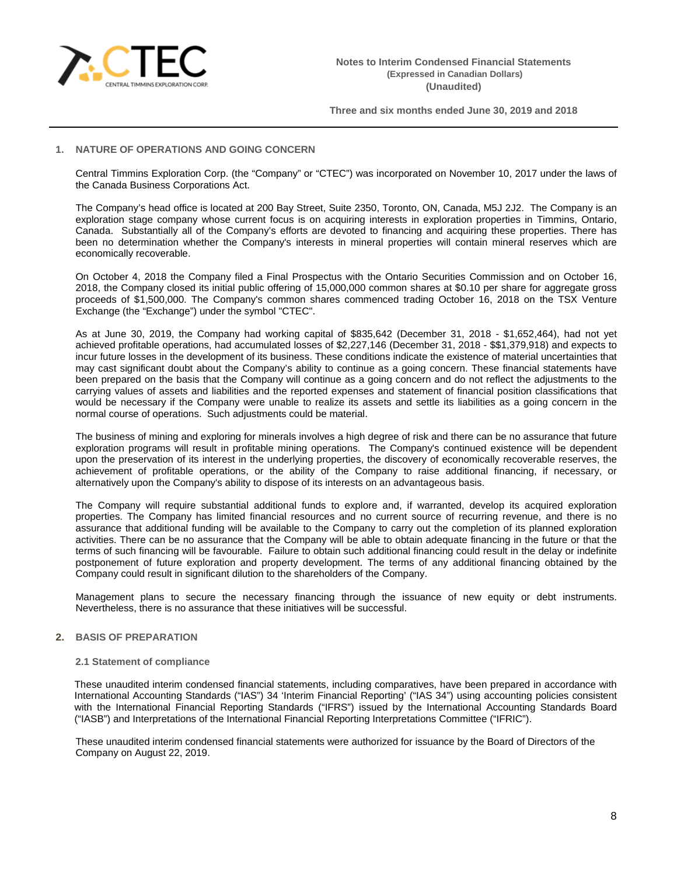

# **1. NATURE OF OPERATIONS AND GOING CONCERN**

Central Timmins Exploration Corp. (the "Company" or "CTEC") was incorporated on November 10, 2017 under the laws of the Canada Business Corporations Act.

The Company's head office is located at 200 Bay Street, Suite 2350, Toronto, ON, Canada, M5J 2J2. The Company is an exploration stage company whose current focus is on acquiring interests in exploration properties in Timmins, Ontario, Canada. Substantially all of the Company's efforts are devoted to financing and acquiring these properties. There has been no determination whether the Company's interests in mineral properties will contain mineral reserves which are economically recoverable.

On October 4, 2018 the Company filed a Final Prospectus with the Ontario Securities Commission and on October 16, 2018, the Company closed its initial public offering of 15,000,000 common shares at \$0.10 per share for aggregate gross proceeds of \$1,500,000. The Company's common shares commenced trading October 16, 2018 on the TSX Venture Exchange (the "Exchange") under the symbol "CTEC".

As at June 30, 2019, the Company had working capital of \$835,642 (December 31, 2018 - \$1,652,464), had not yet achieved profitable operations, had accumulated losses of \$2,227,146 (December 31, 2018 - \$\$1,379,918) and expects to incur future losses in the development of its business. These conditions indicate the existence of material uncertainties that may cast significant doubt about the Company's ability to continue as a going concern. These financial statements have been prepared on the basis that the Company will continue as a going concern and do not reflect the adjustments to the carrying values of assets and liabilities and the reported expenses and statement of financial position classifications that would be necessary if the Company were unable to realize its assets and settle its liabilities as a going concern in the normal course of operations. Such adjustments could be material.

The business of mining and exploring for minerals involves a high degree of risk and there can be no assurance that future exploration programs will result in profitable mining operations. The Company's continued existence will be dependent upon the preservation of its interest in the underlying properties, the discovery of economically recoverable reserves, the achievement of profitable operations, or the ability of the Company to raise additional financing, if necessary, or alternatively upon the Company's ability to dispose of its interests on an advantageous basis.

The Company will require substantial additional funds to explore and, if warranted, develop its acquired exploration properties. The Company has limited financial resources and no current source of recurring revenue, and there is no assurance that additional funding will be available to the Company to carry out the completion of its planned exploration activities. There can be no assurance that the Company will be able to obtain adequate financing in the future or that the terms of such financing will be favourable. Failure to obtain such additional financing could result in the delay or indefinite postponement of future exploration and property development. The terms of any additional financing obtained by the Company could result in significant dilution to the shareholders of the Company.

Management plans to secure the necessary financing through the issuance of new equity or debt instruments. Nevertheless, there is no assurance that these initiatives will be successful.

# **2. BASIS OF PREPARATION**

#### **2.1 Statement of compliance**

These unaudited interim condensed financial statements, including comparatives, have been prepared in accordance with International Accounting Standards ("IAS") 34 'Interim Financial Reporting' ("IAS 34") using accounting policies consistent with the International Financial Reporting Standards ("IFRS") issued by the International Accounting Standards Board ("IASB") and Interpretations of the International Financial Reporting Interpretations Committee ("IFRIC").

These unaudited interim condensed financial statements were authorized for issuance by the Board of Directors of the Company on August 22, 2019.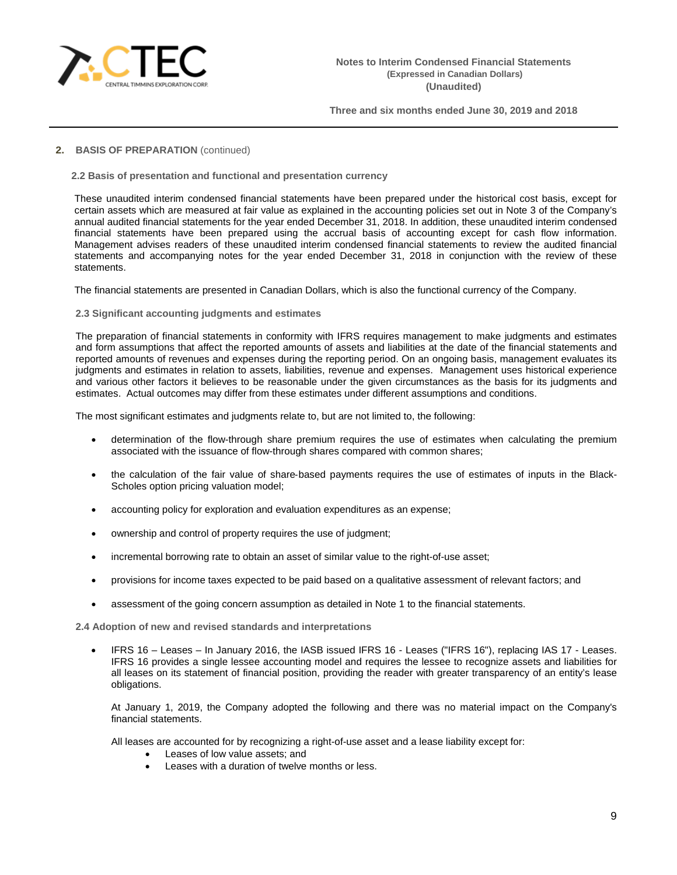

# **2. BASIS OF PREPARATION** (continued)

**2.2 Basis of presentation and functional and presentation currency**

These unaudited interim condensed financial statements have been prepared under the historical cost basis, except for certain assets which are measured at fair value as explained in the accounting policies set out in Note 3 of the Company's annual audited financial statements for the year ended December 31, 2018. In addition, these unaudited interim condensed financial statements have been prepared using the accrual basis of accounting except for cash flow information. Management advises readers of these unaudited interim condensed financial statements to review the audited financial statements and accompanying notes for the year ended December 31, 2018 in conjunction with the review of these statements.

The financial statements are presented in Canadian Dollars, which is also the functional currency of the Company.

**2.3 Significant accounting judgments and estimates**

The preparation of financial statements in conformity with IFRS requires management to make judgments and estimates and form assumptions that affect the reported amounts of assets and liabilities at the date of the financial statements and reported amounts of revenues and expenses during the reporting period. On an ongoing basis, management evaluates its judgments and estimates in relation to assets, liabilities, revenue and expenses. Management uses historical experience and various other factors it believes to be reasonable under the given circumstances as the basis for its judgments and estimates. Actual outcomes may differ from these estimates under different assumptions and conditions.

The most significant estimates and judgments relate to, but are not limited to, the following:

- determination of the flow-through share premium requires the use of estimates when calculating the premium associated with the issuance of flow-through shares compared with common shares;
- the calculation of the fair value of share-based payments requires the use of estimates of inputs in the Black-Scholes option pricing valuation model;
- accounting policy for exploration and evaluation expenditures as an expense;
- ownership and control of property requires the use of judgment;
- incremental borrowing rate to obtain an asset of similar value to the right-of-use asset;
- provisions for income taxes expected to be paid based on a qualitative assessment of relevant factors; and
- assessment of the going concern assumption as detailed in Note 1 to the financial statements.

**2.4 Adoption of new and revised standards and interpretations**

• IFRS 16 – Leases – In January 2016, the IASB issued IFRS 16 - Leases ("IFRS 16"), replacing IAS 17 - Leases. IFRS 16 provides a single lessee accounting model and requires the lessee to recognize assets and liabilities for all leases on its statement of financial position, providing the reader with greater transparency of an entity's lease obligations.

At January 1, 2019, the Company adopted the following and there was no material impact on the Company's financial statements.

All leases are accounted for by recognizing a right-of-use asset and a lease liability except for:

- Leases of low value assets; and
- Leases with a duration of twelve months or less.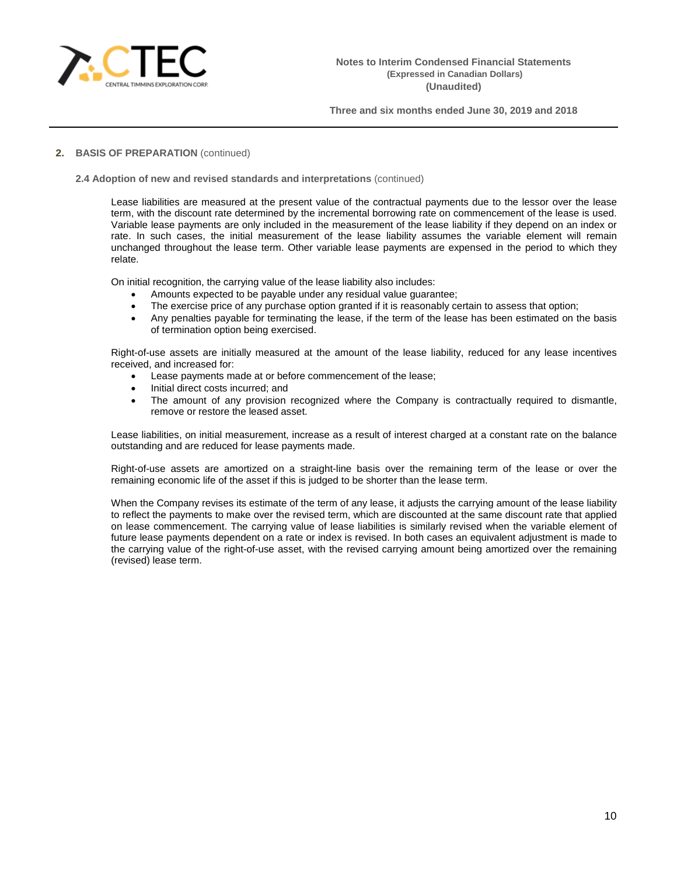

# **2. BASIS OF PREPARATION** (continued)

### **2.4 Adoption of new and revised standards and interpretations** (continued)

Lease liabilities are measured at the present value of the contractual payments due to the lessor over the lease term, with the discount rate determined by the incremental borrowing rate on commencement of the lease is used. Variable lease payments are only included in the measurement of the lease liability if they depend on an index or rate. In such cases, the initial measurement of the lease liability assumes the variable element will remain unchanged throughout the lease term. Other variable lease payments are expensed in the period to which they relate.

On initial recognition, the carrying value of the lease liability also includes:

- Amounts expected to be payable under any residual value guarantee;
- The exercise price of any purchase option granted if it is reasonably certain to assess that option;
- Any penalties payable for terminating the lease, if the term of the lease has been estimated on the basis of termination option being exercised.

Right-of-use assets are initially measured at the amount of the lease liability, reduced for any lease incentives received, and increased for:

- Lease payments made at or before commencement of the lease;
- Initial direct costs incurred; and
- The amount of any provision recognized where the Company is contractually required to dismantle, remove or restore the leased asset.

Lease liabilities, on initial measurement, increase as a result of interest charged at a constant rate on the balance outstanding and are reduced for lease payments made.

Right-of-use assets are amortized on a straight-line basis over the remaining term of the lease or over the remaining economic life of the asset if this is judged to be shorter than the lease term.

When the Company revises its estimate of the term of any lease, it adjusts the carrying amount of the lease liability to reflect the payments to make over the revised term, which are discounted at the same discount rate that applied on lease commencement. The carrying value of lease liabilities is similarly revised when the variable element of future lease payments dependent on a rate or index is revised. In both cases an equivalent adjustment is made to the carrying value of the right-of-use asset, with the revised carrying amount being amortized over the remaining (revised) lease term.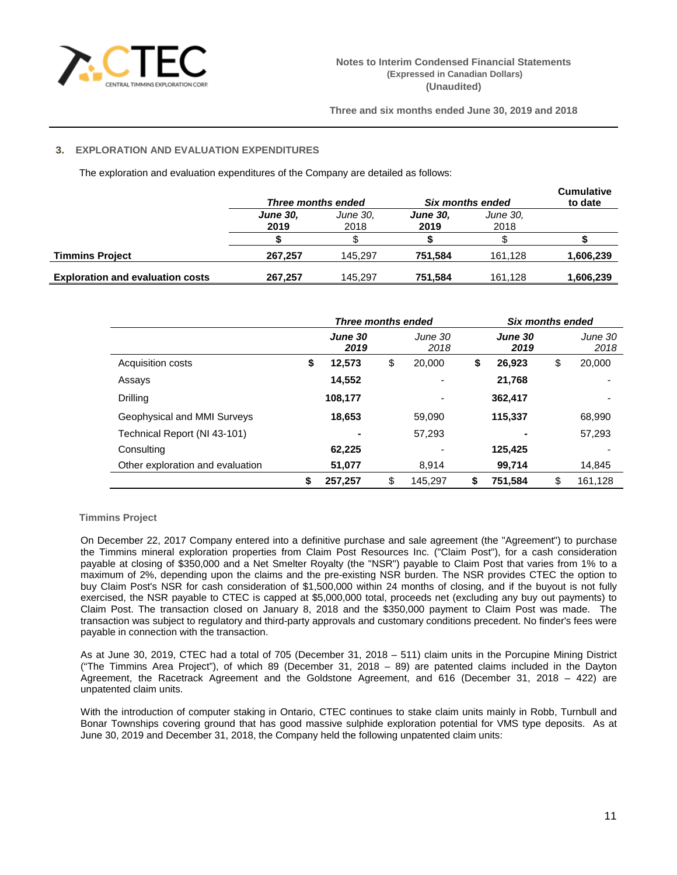

# **3. EXPLORATION AND EVALUATION EXPENDITURES**

The exploration and evaluation expenditures of the Company are detailed as follows:

|                                         | Three months ended      |                  | Six months ended        | <b>Cumulative</b><br>to date |           |
|-----------------------------------------|-------------------------|------------------|-------------------------|------------------------------|-----------|
|                                         | <b>June 30,</b><br>2019 | June 30,<br>2018 | <b>June 30,</b><br>2019 | June 30,<br>2018             |           |
|                                         |                         |                  |                         |                              |           |
| <b>Timmins Project</b>                  | 267.257                 | 145.297          | 751.584                 | 161.128                      | 1,606,239 |
| <b>Exploration and evaluation costs</b> | 267.257                 | 145.297          | 751.584                 | 161.128                      | 1,606,239 |

|                                  | Three months ended |                 |    | <b>Six months ended</b> |    |                 |    |                 |
|----------------------------------|--------------------|-----------------|----|-------------------------|----|-----------------|----|-----------------|
|                                  |                    | June 30<br>2019 |    | June 30<br>2018         |    | June 30<br>2019 |    | June 30<br>2018 |
| Acquisition costs                | \$                 | 12,573          | \$ | 20,000                  | \$ | 26,923          | \$ | 20,000          |
| Assays                           |                    | 14,552          |    |                         |    | 21,768          |    |                 |
| Drilling                         |                    | 108,177         |    | $\overline{a}$          |    | 362,417         |    |                 |
| Geophysical and MMI Surveys      |                    | 18,653          |    | 59.090                  |    | 115,337         |    | 68,990          |
| Technical Report (NI 43-101)     |                    | $\blacksquare$  |    | 57.293                  |    |                 |    | 57,293          |
| Consulting                       |                    | 62,225          |    |                         |    | 125,425         |    |                 |
| Other exploration and evaluation |                    | 51,077          |    | 8.914                   |    | 99,714          |    | 14,845          |
|                                  | \$                 | 257.257         | \$ | 145.297                 | S  | 751.584         | \$ | 161.128         |

# **Timmins Project**

On December 22, 2017 Company entered into a definitive purchase and sale agreement (the "Agreement") to purchase the Timmins mineral exploration properties from Claim Post Resources Inc. ("Claim Post"), for a cash consideration payable at closing of \$350,000 and a Net Smelter Royalty (the "NSR") payable to Claim Post that varies from 1% to a maximum of 2%, depending upon the claims and the pre-existing NSR burden. The NSR provides CTEC the option to buy Claim Post's NSR for cash consideration of \$1,500,000 within 24 months of closing, and if the buyout is not fully exercised, the NSR payable to CTEC is capped at \$5,000,000 total, proceeds net (excluding any buy out payments) to Claim Post. The transaction closed on January 8, 2018 and the \$350,000 payment to Claim Post was made. The transaction was subject to regulatory and third-party approvals and customary conditions precedent. No finder's fees were payable in connection with the transaction.

As at June 30, 2019, CTEC had a total of 705 (December 31, 2018 – 511) claim units in the Porcupine Mining District ("The Timmins Area Project"), of which 89 (December 31, 2018 – 89) are patented claims included in the Dayton Agreement, the Racetrack Agreement and the Goldstone Agreement, and 616 (December 31, 2018 – 422) are unpatented claim units.

With the introduction of computer staking in Ontario, CTEC continues to stake claim units mainly in Robb, Turnbull and Bonar Townships covering ground that has good massive sulphide exploration potential for VMS type deposits. As at June 30, 2019 and December 31, 2018, the Company held the following unpatented claim units: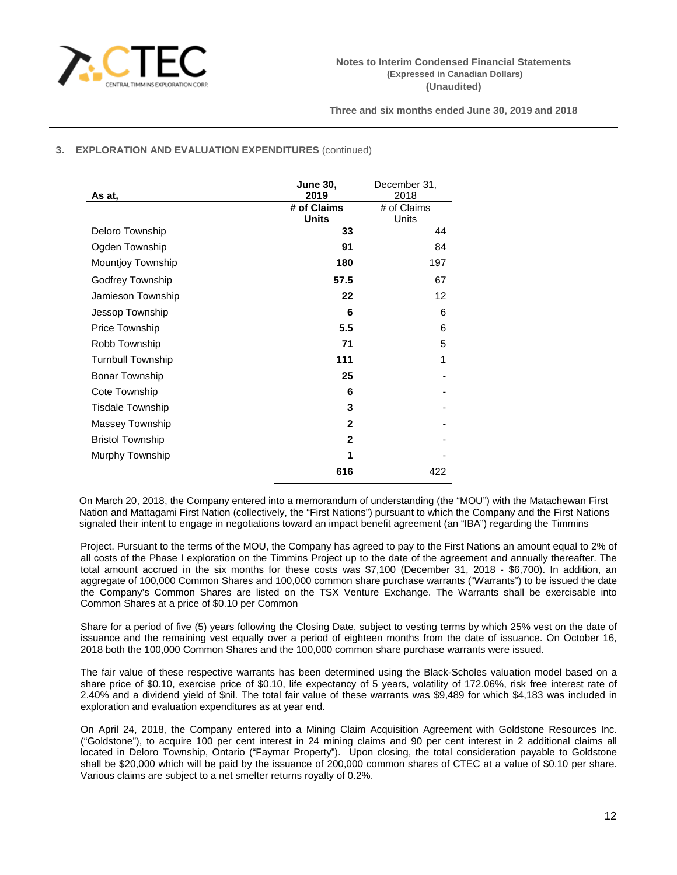

# **3. EXPLORATION AND EVALUATION EXPENDITURES** (continued)

|                          | <b>June 30,</b> | December 31, |
|--------------------------|-----------------|--------------|
| As at,                   | 2019            | 2018         |
|                          | # of Claims     | # of Claims  |
|                          | <b>Units</b>    | Units        |
| Deloro Township          | 33              | 44           |
| Ogden Township           | 91              | 84           |
| Mountjoy Township        | 180             | 197          |
| Godfrey Township         | 57.5            | 67           |
| Jamieson Township        | 22              | 12           |
| Jessop Township          | 6               | 6            |
| Price Township           | 5.5             | 6            |
| Robb Township            | 71              | 5            |
| <b>Turnbull Township</b> | 111             | 1            |
| <b>Bonar Township</b>    | 25              |              |
| Cote Township            | 6               |              |
| <b>Tisdale Township</b>  | 3               |              |
| Massey Township          | $\mathbf{2}$    |              |
| <b>Bristol Township</b>  | $\mathbf{2}$    |              |
| Murphy Township          | 1               |              |
|                          | 616             | 422          |

On March 20, 2018, the Company entered into a memorandum of understanding (the "MOU") with the Matachewan First Nation and Mattagami First Nation (collectively, the "First Nations") pursuant to which the Company and the First Nations signaled their intent to engage in negotiations toward an impact benefit agreement (an "IBA") regarding the Timmins

Project. Pursuant to the terms of the MOU, the Company has agreed to pay to the First Nations an amount equal to 2% of all costs of the Phase I exploration on the Timmins Project up to the date of the agreement and annually thereafter. The total amount accrued in the six months for these costs was \$7,100 (December 31, 2018 - \$6,700). In addition, an aggregate of 100,000 Common Shares and 100,000 common share purchase warrants ("Warrants") to be issued the date the Company's Common Shares are listed on the TSX Venture Exchange. The Warrants shall be exercisable into Common Shares at a price of \$0.10 per Common

Share for a period of five (5) years following the Closing Date, subject to vesting terms by which 25% vest on the date of issuance and the remaining vest equally over a period of eighteen months from the date of issuance. On October 16, 2018 both the 100,000 Common Shares and the 100,000 common share purchase warrants were issued.

The fair value of these respective warrants has been determined using the Black-Scholes valuation model based on a share price of \$0.10, exercise price of \$0.10, life expectancy of 5 years, volatility of 172.06%, risk free interest rate of 2.40% and a dividend yield of \$nil. The total fair value of these warrants was \$9,489 for which \$4,183 was included in exploration and evaluation expenditures as at year end.

On April 24, 2018, the Company entered into a Mining Claim Acquisition Agreement with Goldstone Resources Inc. ("Goldstone"), to acquire 100 per cent interest in 24 mining claims and 90 per cent interest in 2 additional claims all located in Deloro Township, Ontario ("Faymar Property"). Upon closing, the total consideration payable to Goldstone shall be \$20,000 which will be paid by the issuance of 200,000 common shares of CTEC at a value of \$0.10 per share. Various claims are subject to a net smelter returns royalty of 0.2%.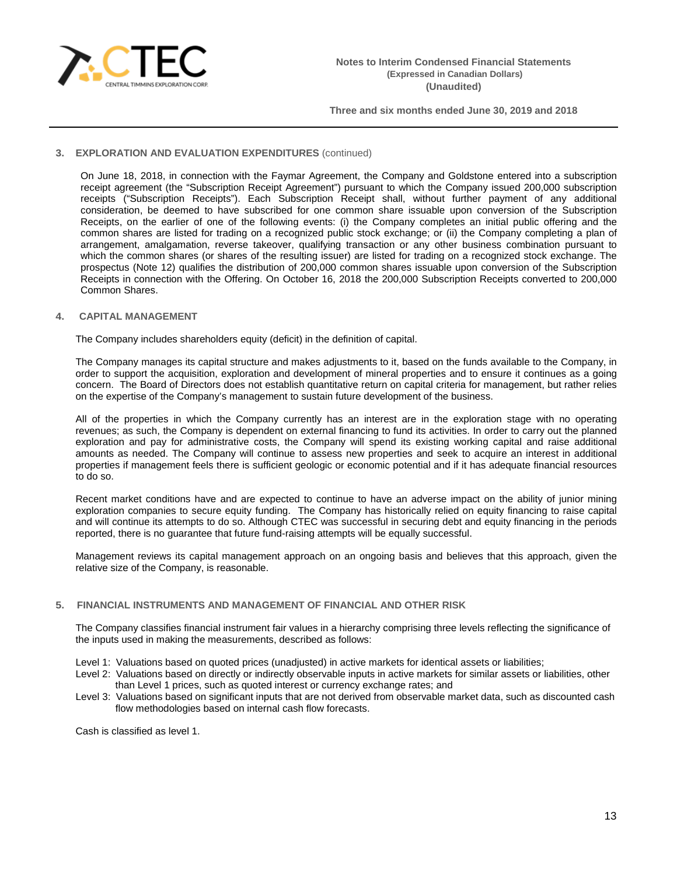

# **3. EXPLORATION AND EVALUATION EXPENDITURES** (continued)

On June 18, 2018, in connection with the Faymar Agreement, the Company and Goldstone entered into a subscription receipt agreement (the "Subscription Receipt Agreement") pursuant to which the Company issued 200,000 subscription receipts ("Subscription Receipts"). Each Subscription Receipt shall, without further payment of any additional consideration, be deemed to have subscribed for one common share issuable upon conversion of the Subscription Receipts, on the earlier of one of the following events: (i) the Company completes an initial public offering and the common shares are listed for trading on a recognized public stock exchange; or (ii) the Company completing a plan of arrangement, amalgamation, reverse takeover, qualifying transaction or any other business combination pursuant to which the common shares (or shares of the resulting issuer) are listed for trading on a recognized stock exchange. The prospectus (Note 12) qualifies the distribution of 200,000 common shares issuable upon conversion of the Subscription Receipts in connection with the Offering. On October 16, 2018 the 200,000 Subscription Receipts converted to 200,000 Common Shares.

# **4. CAPITAL MANAGEMENT**

The Company includes shareholders equity (deficit) in the definition of capital.

The Company manages its capital structure and makes adjustments to it, based on the funds available to the Company, in order to support the acquisition, exploration and development of mineral properties and to ensure it continues as a going concern. The Board of Directors does not establish quantitative return on capital criteria for management, but rather relies on the expertise of the Company's management to sustain future development of the business.

All of the properties in which the Company currently has an interest are in the exploration stage with no operating revenues; as such, the Company is dependent on external financing to fund its activities. In order to carry out the planned exploration and pay for administrative costs, the Company will spend its existing working capital and raise additional amounts as needed. The Company will continue to assess new properties and seek to acquire an interest in additional properties if management feels there is sufficient geologic or economic potential and if it has adequate financial resources to do so.

Recent market conditions have and are expected to continue to have an adverse impact on the ability of junior mining exploration companies to secure equity funding. The Company has historically relied on equity financing to raise capital and will continue its attempts to do so. Although CTEC was successful in securing debt and equity financing in the periods reported, there is no guarantee that future fund-raising attempts will be equally successful.

Management reviews its capital management approach on an ongoing basis and believes that this approach, given the relative size of the Company, is reasonable.

# **5. FINANCIAL INSTRUMENTS AND MANAGEMENT OF FINANCIAL AND OTHER RISK**

The Company classifies financial instrument fair values in a hierarchy comprising three levels reflecting the significance of the inputs used in making the measurements, described as follows:

Level 1: Valuations based on quoted prices (unadjusted) in active markets for identical assets or liabilities;

- Level 2: Valuations based on directly or indirectly observable inputs in active markets for similar assets or liabilities, other than Level 1 prices, such as quoted interest or currency exchange rates; and
- Level 3: Valuations based on significant inputs that are not derived from observable market data, such as discounted cash flow methodologies based on internal cash flow forecasts.

Cash is classified as level 1.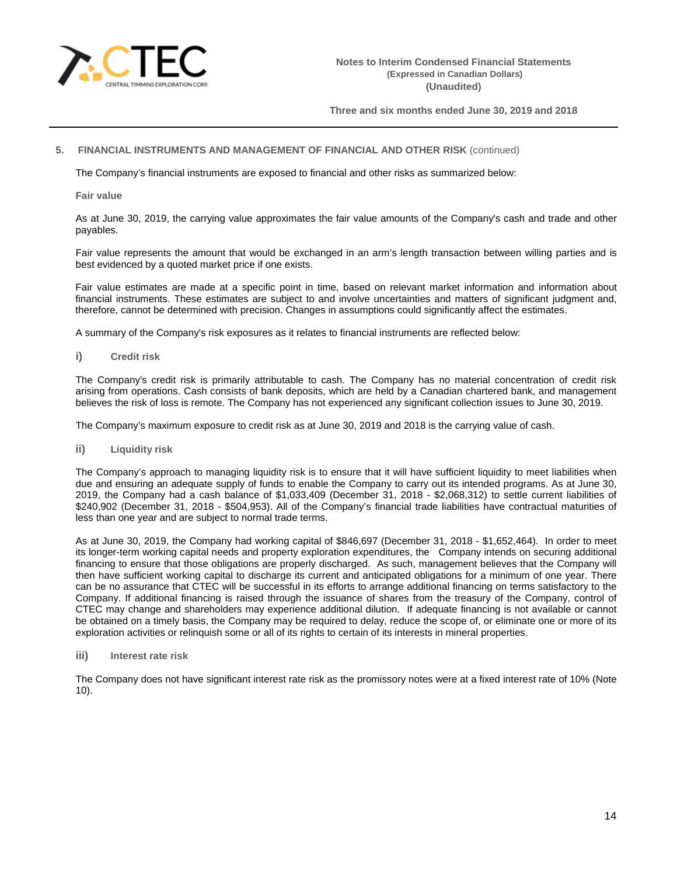

### **5. FINANCIAL INSTRUMENTS AND MANAGEMENT OF FINANCIAL AND OTHER RISK** (continued)

The Company's financial instruments are exposed to financial and other risks as summarized below:

**Fair value**

As at June 30, 2019, the carrying value approximates the fair value amounts of the Company's cash and trade and other payables.

Fair value represents the amount that would be exchanged in an arm's length transaction between willing parties and is best evidenced by a quoted market price if one exists.

Fair value estimates are made at a specific point in time, based on relevant market information and information about financial instruments. These estimates are subject to and involve uncertainties and matters of significant judgment and, therefore, cannot be determined with precision. Changes in assumptions could significantly affect the estimates.

A summary of the Company's risk exposures as it relates to financial instruments are reflected below:

**i) Credit risk**

The Company's credit risk is primarily attributable to cash. The Company has no material concentration of credit risk arising from operations. Cash consists of bank deposits, which are held by a Canadian chartered bank, and management believes the risk of loss is remote. The Company has not experienced any significant collection issues to June 30, 2019.

The Company's maximum exposure to credit risk as at June 30, 2019 and 2018 is the carrying value of cash.

**ii) Liquidity risk**

The Company's approach to managing liquidity risk is to ensure that it will have sufficient liquidity to meet liabilities when due and ensuring an adequate supply of funds to enable the Company to carry out its intended programs. As at June 30, 2019, the Company had a cash balance of \$1,033,409 (December 31, 2018 - \$2,068,312) to settle current liabilities of \$240,902 (December 31, 2018 - \$504,953). All of the Company's financial trade liabilities have contractual maturities of less than one year and are subject to normal trade terms.

As at June 30, 2019, the Company had working capital of \$846,697 (December 31, 2018 - \$1,652,464). In order to meet its longer-term working capital needs and property exploration expenditures, theCompany intends on securing additional financing to ensure that those obligations are properly discharged. As such, management believes that the Company will then have sufficient working capital to discharge its current and anticipated obligations for a minimum of one year. There can be no assurance that CTEC will be successful in its efforts to arrange additional financing on terms satisfactory to the Company. If additional financing is raised through the issuance of shares from the treasury of the Company, control of CTEC may change and shareholders may experience additional dilution. If adequate financing is not available or cannot be obtained on a timely basis, the Company may be required to delay, reduce the scope of, or eliminate one or more of its exploration activities or relinquish some or all of its rights to certain of its interests in mineral properties.

**iii) Interest rate risk**

The Company does not have significant interest rate risk as the promissory notes were at a fixed interest rate of 10% (Note 10).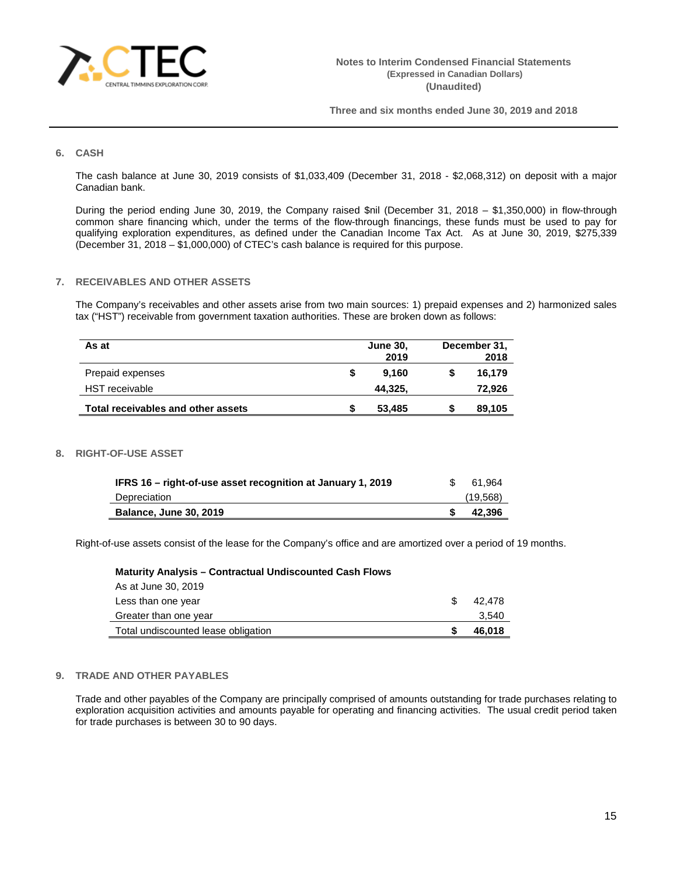

# **6. CASH**

The cash balance at June 30, 2019 consists of \$1,033,409 (December 31, 2018 - \$2,068,312) on deposit with a major Canadian bank.

During the period ending June 30, 2019, the Company raised \$nil (December 31, 2018 – \$1,350,000) in flow-through common share financing which, under the terms of the flow-through financings, these funds must be used to pay for qualifying exploration expenditures, as defined under the Canadian Income Tax Act. As at June 30, 2019, \$275,339 (December 31, 2018 – \$1,000,000) of CTEC's cash balance is required for this purpose.

### **7. RECEIVABLES AND OTHER ASSETS**

The Company's receivables and other assets arise from two main sources: 1) prepaid expenses and 2) harmonized sales tax ("HST") receivable from government taxation authorities. These are broken down as follows:

| As at                              | <b>June 30,</b><br>2019 | December 31,<br>2018 |        |  |
|------------------------------------|-------------------------|----------------------|--------|--|
| Prepaid expenses                   | 9.160                   |                      | 16.179 |  |
| <b>HST</b> receivable              | 44,325,                 |                      | 72,926 |  |
| Total receivables and other assets | 53,485                  |                      | 89,105 |  |

#### **8. RIGHT-OF-USE ASSET**

| IFRS 16 – right-of-use asset recognition at January 1, 2019 | 61.964    |
|-------------------------------------------------------------|-----------|
| Depreciation                                                | (19, 568) |
| <b>Balance, June 30, 2019</b>                               | 42.396    |

Right-of-use assets consist of the lease for the Company's office and are amortized over a period of 19 months.

| <b>Maturity Analysis – Contractual Undiscounted Cash Flows</b> |   |        |
|----------------------------------------------------------------|---|--------|
| As at June 30, 2019                                            |   |        |
| Less than one year                                             | S | 42.478 |
| Greater than one year                                          |   | 3,540  |
| Total undiscounted lease obligation                            |   | 46,018 |

### **9. TRADE AND OTHER PAYABLES**

Trade and other payables of the Company are principally comprised of amounts outstanding for trade purchases relating to exploration acquisition activities and amounts payable for operating and financing activities. The usual credit period taken for trade purchases is between 30 to 90 days.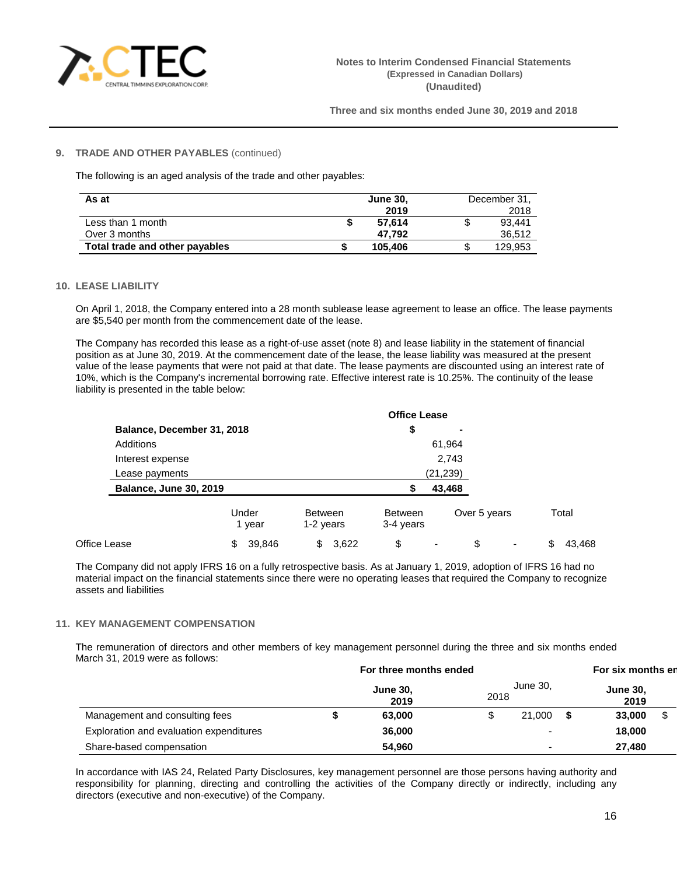

### **9. TRADE AND OTHER PAYABLES** (continued)

The following is an aged analysis of the trade and other payables:

| As at                          | <b>June 30.</b> |         | December 31, |
|--------------------------------|-----------------|---------|--------------|
|                                |                 | 2019    | 2018         |
| Less than 1 month              |                 | 57.614  | 93.441       |
| Over 3 months                  |                 | 47.792  | 36,512       |
| Total trade and other payables |                 | 105,406 | 129.953      |

### **10. LEASE LIABILITY**

On April 1, 2018, the Company entered into a 28 month sublease lease agreement to lease an office. The lease payments are \$5,540 per month from the commencement date of the lease.

The Company has recorded this lease as a right-of-use asset (note 8) and lease liability in the statement of financial position as at June 30, 2019. At the commencement date of the lease, the lease liability was measured at the present value of the lease payments that were not paid at that date. The lease payments are discounted using an interest rate of 10%, which is the Company's incremental borrowing rate. Effective interest rate is 10.25%. The continuity of the lease liability is presented in the table below:

|              |                               |                 |                             | <b>Office Lease</b>         |                |              |              |
|--------------|-------------------------------|-----------------|-----------------------------|-----------------------------|----------------|--------------|--------------|
|              | Balance, December 31, 2018    |                 |                             | \$                          | $\blacksquare$ |              |              |
|              | Additions                     |                 |                             |                             | 61,964         |              |              |
|              | Interest expense              |                 |                             |                             | 2,743          |              |              |
|              | Lease payments                |                 |                             |                             | (21,239)       |              |              |
|              | <b>Balance, June 30, 2019</b> |                 |                             | 43,468                      |                |              |              |
|              |                               | Under<br>1 year | <b>Between</b><br>1-2 years | <b>Between</b><br>3-4 years |                | Over 5 years | Total        |
| Office Lease |                               | 39,846<br>S     | 3,622<br>\$                 | \$                          |                | \$           | 43,468<br>\$ |

The Company did not apply IFRS 16 on a fully retrospective basis. As at January 1, 2019, adoption of IFRS 16 had no material impact on the financial statements since there were no operating leases that required the Company to recognize assets and liabilities

#### **11. KEY MANAGEMENT COMPENSATION**

The remuneration of directors and other members of key management personnel during the three and six months ended March 31, 2019 were as follows:

|                                         | For three months ended |                         |      |          | For six months en       |  |  |
|-----------------------------------------|------------------------|-------------------------|------|----------|-------------------------|--|--|
|                                         |                        | <b>June 30,</b><br>2019 | 2018 | June 30. | <b>June 30,</b><br>2019 |  |  |
| Management and consulting fees          |                        | 63,000                  |      | 21.000   | 33,000                  |  |  |
| Exploration and evaluation expenditures |                        | 36,000                  |      |          | 18,000                  |  |  |
| Share-based compensation                |                        | 54.960                  |      |          | 27,480                  |  |  |

In accordance with IAS 24, Related Party Disclosures, key management personnel are those persons having authority and responsibility for planning, directing and controlling the activities of the Company directly or indirectly, including any directors (executive and non-executive) of the Company.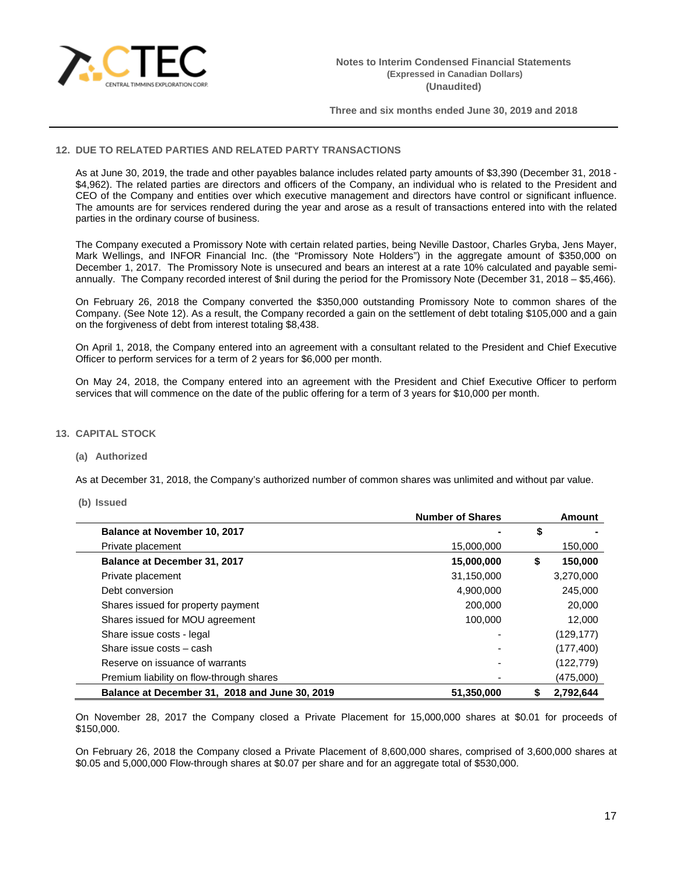

### **12. DUE TO RELATED PARTIES AND RELATED PARTY TRANSACTIONS**

As at June 30, 2019, the trade and other payables balance includes related party amounts of \$3,390 (December 31, 2018 - \$4,962). The related parties are directors and officers of the Company, an individual who is related to the President and CEO of the Company and entities over which executive management and directors have control or significant influence. The amounts are for services rendered during the year and arose as a result of transactions entered into with the related parties in the ordinary course of business.

The Company executed a Promissory Note with certain related parties, being Neville Dastoor, Charles Gryba, Jens Mayer, Mark Wellings, and INFOR Financial Inc. (the "Promissory Note Holders") in the aggregate amount of \$350,000 on December 1, 2017. The Promissory Note is unsecured and bears an interest at a rate 10% calculated and payable semiannually. The Company recorded interest of \$nil during the period for the Promissory Note (December 31, 2018 – \$5,466).

On February 26, 2018 the Company converted the \$350,000 outstanding Promissory Note to common shares of the Company. (See Note 12). As a result, the Company recorded a gain on the settlement of debt totaling \$105,000 and a gain on the forgiveness of debt from interest totaling \$8,438.

On April 1, 2018, the Company entered into an agreement with a consultant related to the President and Chief Executive Officer to perform services for a term of 2 years for \$6,000 per month.

On May 24, 2018, the Company entered into an agreement with the President and Chief Executive Officer to perform services that will commence on the date of the public offering for a term of 3 years for \$10,000 per month.

# **13. CAPITAL STOCK**

#### **(a) Authorized**

As at December 31, 2018, the Company's authorized number of common shares was unlimited and without par value.

#### **(b) Issued**

|                                                | <b>Number of Shares</b> |    | Amount     |
|------------------------------------------------|-------------------------|----|------------|
| Balance at November 10, 2017                   |                         | \$ |            |
| Private placement                              | 15,000,000              |    | 150,000    |
| Balance at December 31, 2017                   | 15,000,000              | S  | 150,000    |
| Private placement                              | 31,150,000              |    | 3,270,000  |
| Debt conversion                                | 4,900,000               |    | 245,000    |
| Shares issued for property payment             | 200,000                 |    | 20,000     |
| Shares issued for MOU agreement                | 100.000                 |    | 12,000     |
| Share issue costs - legal                      |                         |    | (129, 177) |
| Share issue costs - cash                       |                         |    | (177, 400) |
| Reserve on issuance of warrants                |                         |    | (122, 779) |
| Premium liability on flow-through shares       |                         |    | (475,000)  |
| Balance at December 31, 2018 and June 30, 2019 | 51,350,000              |    | 2.792.644  |

On November 28, 2017 the Company closed a Private Placement for 15,000,000 shares at \$0.01 for proceeds of \$150,000.

On February 26, 2018 the Company closed a Private Placement of 8,600,000 shares, comprised of 3,600,000 shares at \$0.05 and 5,000,000 Flow-through shares at \$0.07 per share and for an aggregate total of \$530,000.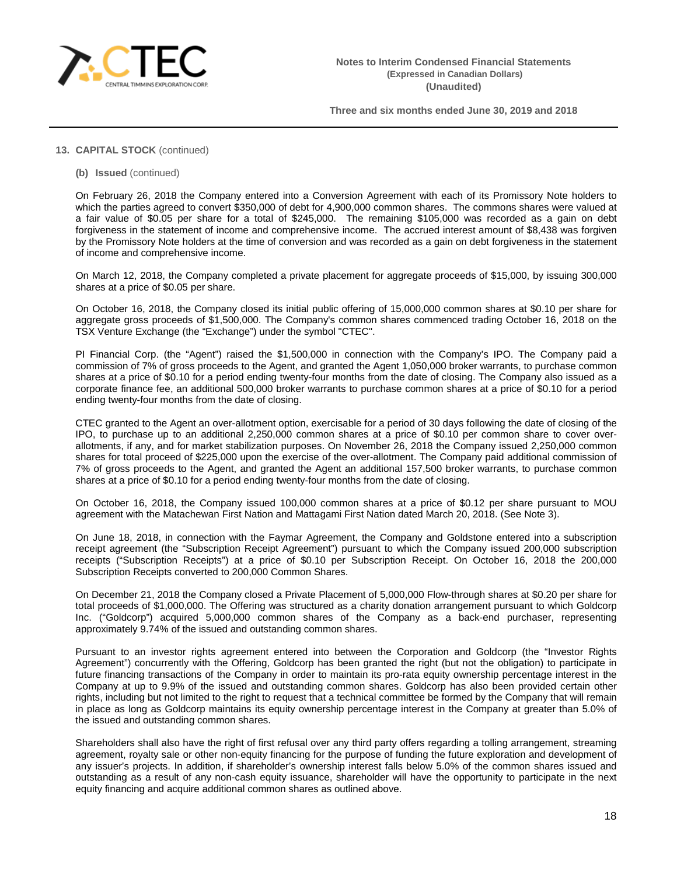

# **13. CAPITAL STOCK** (continued)

**(b) Issued** (continued)

On February 26, 2018 the Company entered into a Conversion Agreement with each of its Promissory Note holders to which the parties agreed to convert \$350,000 of debt for 4,900,000 common shares. The commons shares were valued at a fair value of \$0.05 per share for a total of \$245,000. The remaining \$105,000 was recorded as a gain on debt forgiveness in the statement of income and comprehensive income. The accrued interest amount of \$8,438 was forgiven by the Promissory Note holders at the time of conversion and was recorded as a gain on debt forgiveness in the statement of income and comprehensive income.

On March 12, 2018, the Company completed a private placement for aggregate proceeds of \$15,000, by issuing 300,000 shares at a price of \$0.05 per share.

On October 16, 2018, the Company closed its initial public offering of 15,000,000 common shares at \$0.10 per share for aggregate gross proceeds of \$1,500,000. The Company's common shares commenced trading October 16, 2018 on the TSX Venture Exchange (the "Exchange") under the symbol "CTEC".

PI Financial Corp. (the "Agent") raised the \$1,500,000 in connection with the Company's IPO. The Company paid a commission of 7% of gross proceeds to the Agent, and granted the Agent 1,050,000 broker warrants, to purchase common shares at a price of \$0.10 for a period ending twenty-four months from the date of closing. The Company also issued as a corporate finance fee, an additional 500,000 broker warrants to purchase common shares at a price of \$0.10 for a period ending twenty-four months from the date of closing.

CTEC granted to the Agent an over-allotment option, exercisable for a period of 30 days following the date of closing of the IPO, to purchase up to an additional 2,250,000 common shares at a price of \$0.10 per common share to cover overallotments, if any, and for market stabilization purposes. On November 26, 2018 the Company issued 2,250,000 common shares for total proceed of \$225,000 upon the exercise of the over-allotment. The Company paid additional commission of 7% of gross proceeds to the Agent, and granted the Agent an additional 157,500 broker warrants, to purchase common shares at a price of \$0.10 for a period ending twenty-four months from the date of closing.

On October 16, 2018, the Company issued 100,000 common shares at a price of \$0.12 per share pursuant to MOU agreement with the Matachewan First Nation and Mattagami First Nation dated March 20, 2018. (See Note 3).

On June 18, 2018, in connection with the Faymar Agreement, the Company and Goldstone entered into a subscription receipt agreement (the "Subscription Receipt Agreement") pursuant to which the Company issued 200,000 subscription receipts ("Subscription Receipts") at a price of \$0.10 per Subscription Receipt. On October 16, 2018 the 200,000 Subscription Receipts converted to 200,000 Common Shares.

On December 21, 2018 the Company closed a Private Placement of 5,000,000 Flow-through shares at \$0.20 per share for total proceeds of \$1,000,000. The Offering was structured as a charity donation arrangement pursuant to which Goldcorp Inc. ("Goldcorp") acquired 5,000,000 common shares of the Company as a back-end purchaser, representing approximately 9.74% of the issued and outstanding common shares.

Pursuant to an investor rights agreement entered into between the Corporation and Goldcorp (the "Investor Rights Agreement") concurrently with the Offering, Goldcorp has been granted the right (but not the obligation) to participate in future financing transactions of the Company in order to maintain its pro-rata equity ownership percentage interest in the Company at up to 9.9% of the issued and outstanding common shares. Goldcorp has also been provided certain other rights, including but not limited to the right to request that a technical committee be formed by the Company that will remain in place as long as Goldcorp maintains its equity ownership percentage interest in the Company at greater than 5.0% of the issued and outstanding common shares.

Shareholders shall also have the right of first refusal over any third party offers regarding a tolling arrangement, streaming agreement, royalty sale or other non-equity financing for the purpose of funding the future exploration and development of any issuer's projects. In addition, if shareholder's ownership interest falls below 5.0% of the common shares issued and outstanding as a result of any non-cash equity issuance, shareholder will have the opportunity to participate in the next equity financing and acquire additional common shares as outlined above.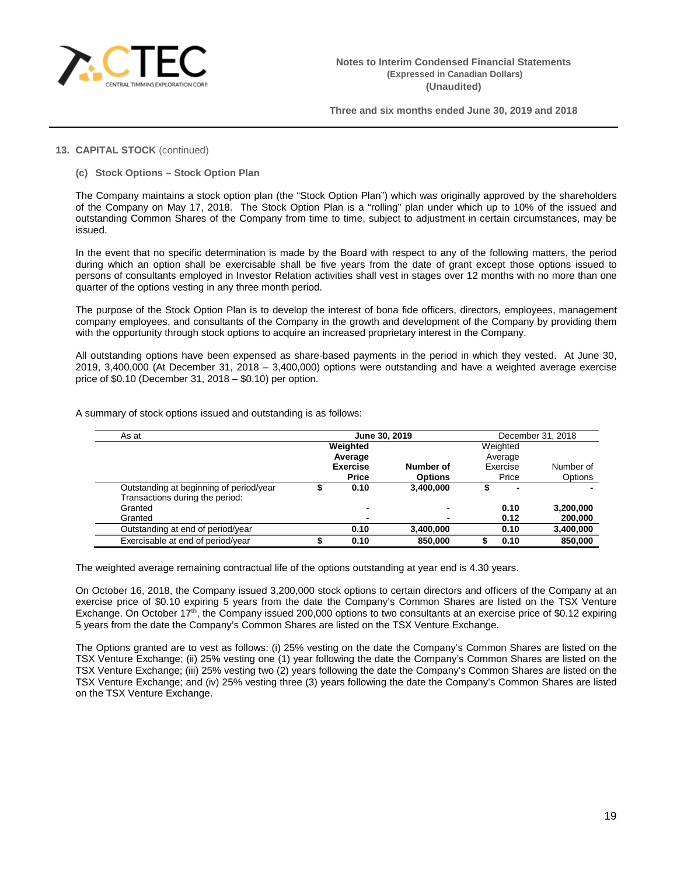

# **13. CAPITAL STOCK** (continued)

**(c) Stock Options – Stock Option Plan**

The Company maintains a stock option plan (the "Stock Option Plan") which was originally approved by the shareholders of the Company on May 17, 2018. The Stock Option Plan is a "rolling" plan under which up to 10% of the issued and outstanding Common Shares of the Company from time to time, subject to adjustment in certain circumstances, may be issued.

In the event that no specific determination is made by the Board with respect to any of the following matters, the period during which an option shall be exercisable shall be five years from the date of grant except those options issued to persons of consultants employed in Investor Relation activities shall vest in stages over 12 months with no more than one quarter of the options vesting in any three month period.

The purpose of the Stock Option Plan is to develop the interest of bona fide officers, directors, employees, management company employees, and consultants of the Company in the growth and development of the Company by providing them with the opportunity through stock options to acquire an increased proprietary interest in the Company.

All outstanding options have been expensed as share-based payments in the period in which they vested. At June 30, 2019, 3,400,000 (At December 31, 2018 – 3,400,000) options were outstanding and have a weighted average exercise price of \$0.10 (December 31, 2018 – \$0.10) per option.

| As at                                   | June 30, 2019 |                 |                | December 31, 2018 |           |  |
|-----------------------------------------|---------------|-----------------|----------------|-------------------|-----------|--|
|                                         |               | Weighted        |                | Weighted          |           |  |
|                                         |               | Average         |                | Average           |           |  |
|                                         |               | <b>Exercise</b> | Number of      | Exercise          | Number of |  |
|                                         |               | <b>Price</b>    | <b>Options</b> | Price             | Options   |  |
| Outstanding at beginning of period/year |               | 0.10            | 3.400.000      | ۰                 |           |  |
| Transactions during the period:         |               |                 |                |                   |           |  |
| Granted                                 |               | -               |                | 0.10              | 3,200,000 |  |
| Granted                                 |               |                 |                | 0.12              | 200,000   |  |
| Outstanding at end of period/year       |               | 0.10            | 3.400.000      | 0.10              | 3,400,000 |  |
| Exercisable at end of period/year       |               | 0.10            | 850,000        | 0.10              | 850.000   |  |

A summary of stock options issued and outstanding is as follows:

The weighted average remaining contractual life of the options outstanding at year end is 4.30 years.

On October 16, 2018, the Company issued 3,200,000 stock options to certain directors and officers of the Company at an exercise price of \$0.10 expiring 5 years from the date the Company's Common Shares are listed on the TSX Venture Exchange. On October 17<sup>th</sup>, the Company issued 200,000 options to two consultants at an exercise price of \$0.12 expiring 5 years from the date the Company's Common Shares are listed on the TSX Venture Exchange.

The Options granted are to vest as follows: (i) 25% vesting on the date the Company's Common Shares are listed on the TSX Venture Exchange; (ii) 25% vesting one (1) year following the date the Company's Common Shares are listed on the TSX Venture Exchange; (iii) 25% vesting two (2) years following the date the Company's Common Shares are listed on the TSX Venture Exchange; and (iv) 25% vesting three (3) years following the date the Company's Common Shares are listed on the TSX Venture Exchange.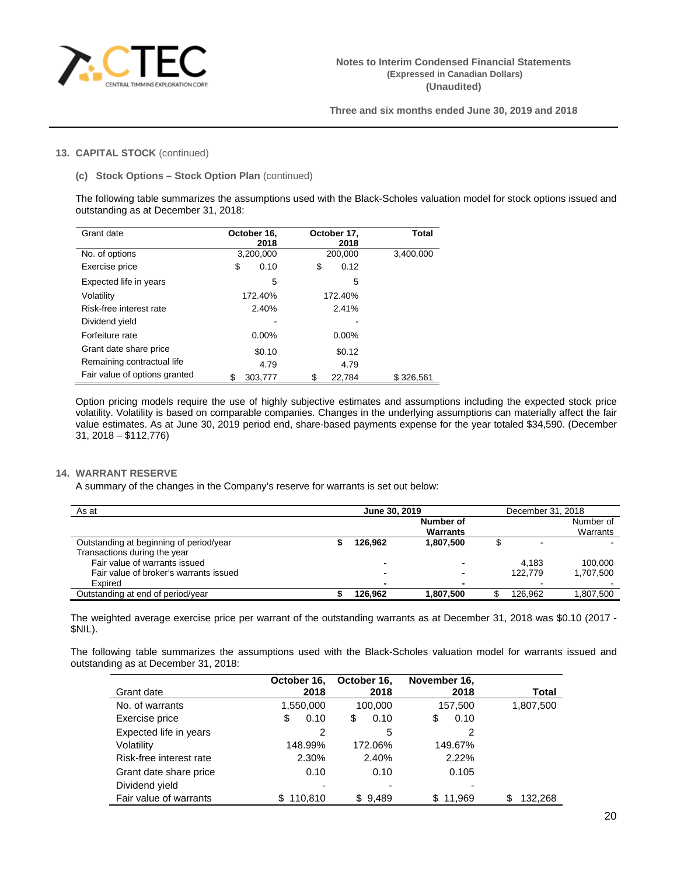

# **13. CAPITAL STOCK** (continued)

### **(c) Stock Options – Stock Option Plan** (continued)

The following table summarizes the assumptions used with the Black-Scholes valuation model for stock options issued and outstanding as at December 31, 2018:

| Grant date                    | October 16.<br>2018 | October 17.<br>2018 | <b>Total</b> |
|-------------------------------|---------------------|---------------------|--------------|
| No. of options                | 3,200,000           | 200,000             | 3,400,000    |
| Exercise price                | \$<br>0.10          | \$<br>0.12          |              |
| Expected life in years        | 5                   | 5                   |              |
| Volatility                    | 172.40%             | 172.40%             |              |
| Risk-free interest rate       | 2.40%               | 2.41%               |              |
| Dividend yield                |                     |                     |              |
| Forfeiture rate               | $0.00\%$            | $0.00\%$            |              |
| Grant date share price        | \$0.10              | \$0.12              |              |
| Remaining contractual life    | 4.79                | 4.79                |              |
| Fair value of options granted | S<br>303,777        | 22.784              | \$326.561    |

Option pricing models require the use of highly subjective estimates and assumptions including the expected stock price volatility. Volatility is based on comparable companies. Changes in the underlying assumptions can materially affect the fair value estimates. As at June 30, 2019 period end, share-based payments expense for the year totaled \$34,590. (December 31, 2018 – \$112,776)

# **14. WARRANT RESERVE**

A summary of the changes in the Company's reserve for warrants is set out below:

| As at                                   | June 30, 2019 |         |                | December 31, 2018 |           |  |
|-----------------------------------------|---------------|---------|----------------|-------------------|-----------|--|
|                                         |               |         | Number of      |                   | Number of |  |
|                                         |               |         | Warrants       |                   | Warrants  |  |
| Outstanding at beginning of period/year |               | 126.962 | 1.807.500      |                   |           |  |
| Transactions during the year            |               |         |                |                   |           |  |
| Fair value of warrants issued           |               |         | -              | 4.183             | 100.000   |  |
| Fair value of broker's warrants issued  |               |         | $\blacksquare$ | 122.779           | 1.707.500 |  |
| Expired                                 |               |         | $\blacksquare$ |                   |           |  |
| Outstanding at end of period/vear       |               | 126.962 | 1.807.500      | 126.962           | 1.807.500 |  |

The weighted average exercise price per warrant of the outstanding warrants as at December 31, 2018 was \$0.10 (2017 - \$NIL).

The following table summarizes the assumptions used with the Black-Scholes valuation model for warrants issued and outstanding as at December 31, 2018:

|                         | October 16.   | October 16, | November 16, |               |
|-------------------------|---------------|-------------|--------------|---------------|
| Grant date              | 2018          | 2018        | 2018         | Total         |
| No. of warrants         | 1,550,000     | 100,000     | 157,500      | 1,807,500     |
| Exercise price          | \$<br>0.10    | \$<br>0.10  | \$<br>0.10   |               |
| Expected life in years  | 2             | 5           | 2            |               |
| Volatility              | 148.99%       | 172.06%     | 149.67%      |               |
| Risk-free interest rate | 2.30%         | 2.40%       | 2.22%        |               |
| Grant date share price  | 0.10          | 0.10        | 0.105        |               |
| Dividend yield          |               | ٠           |              |               |
| Fair value of warrants  | \$<br>110.810 | \$9.489     | 11.969<br>S. | \$<br>132.268 |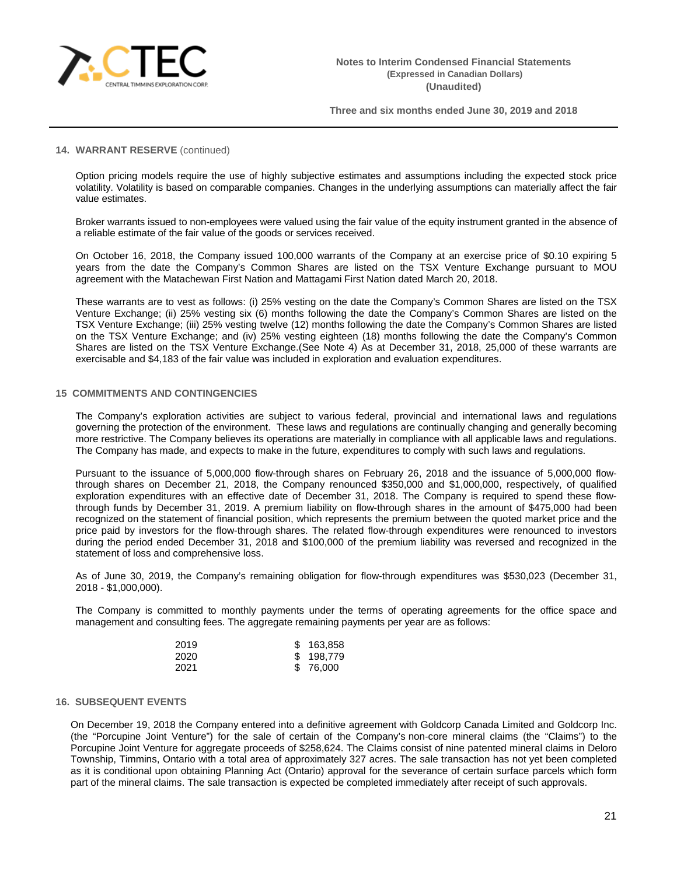

### **14. WARRANT RESERVE** (continued)

Option pricing models require the use of highly subjective estimates and assumptions including the expected stock price volatility. Volatility is based on comparable companies. Changes in the underlying assumptions can materially affect the fair value estimates.

Broker warrants issued to non-employees were valued using the fair value of the equity instrument granted in the absence of a reliable estimate of the fair value of the goods or services received.

On October 16, 2018, the Company issued 100,000 warrants of the Company at an exercise price of \$0.10 expiring 5 years from the date the Company's Common Shares are listed on the TSX Venture Exchange pursuant to MOU agreement with the Matachewan First Nation and Mattagami First Nation dated March 20, 2018.

These warrants are to vest as follows: (i) 25% vesting on the date the Company's Common Shares are listed on the TSX Venture Exchange; (ii) 25% vesting six (6) months following the date the Company's Common Shares are listed on the TSX Venture Exchange; (iii) 25% vesting twelve (12) months following the date the Company's Common Shares are listed on the TSX Venture Exchange; and (iv) 25% vesting eighteen (18) months following the date the Company's Common Shares are listed on the TSX Venture Exchange.(See Note 4) As at December 31, 2018, 25,000 of these warrants are exercisable and \$4,183 of the fair value was included in exploration and evaluation expenditures.

### **15 COMMITMENTS AND CONTINGENCIES**

The Company's exploration activities are subject to various federal, provincial and international laws and regulations governing the protection of the environment. These laws and regulations are continually changing and generally becoming more restrictive. The Company believes its operations are materially in compliance with all applicable laws and regulations. The Company has made, and expects to make in the future, expenditures to comply with such laws and regulations.

Pursuant to the issuance of 5,000,000 flow-through shares on February 26, 2018 and the issuance of 5,000,000 flowthrough shares on December 21, 2018, the Company renounced \$350,000 and \$1,000,000, respectively, of qualified exploration expenditures with an effective date of December 31, 2018. The Company is required to spend these flowthrough funds by December 31, 2019. A premium liability on flow-through shares in the amount of \$475,000 had been recognized on the statement of financial position, which represents the premium between the quoted market price and the price paid by investors for the flow-through shares. The related flow-through expenditures were renounced to investors during the period ended December 31, 2018 and \$100,000 of the premium liability was reversed and recognized in the statement of loss and comprehensive loss.

As of June 30, 2019, the Company's remaining obligation for flow-through expenditures was \$530,023 (December 31, 2018 - \$1,000,000).

The Company is committed to monthly payments under the terms of operating agreements for the office space and management and consulting fees. The aggregate remaining payments per year are as follows:

| 2019 | \$163,858 |
|------|-----------|
| 2020 | \$198,779 |
| 2021 | \$76,000  |

#### **16. SUBSEQUENT EVENTS**

On December 19, 2018 the Company entered into a definitive agreement with Goldcorp Canada Limited and Goldcorp Inc. (the "Porcupine Joint Venture") for the sale of certain of the Company's non‐core mineral claims (the "Claims") to the Porcupine Joint Venture for aggregate proceeds of \$258,624. The Claims consist of nine patented mineral claims in Deloro Township, Timmins, Ontario with a total area of approximately 327 acres. The sale transaction has not yet been completed as it is conditional upon obtaining Planning Act (Ontario) approval for the severance of certain surface parcels which form part of the mineral claims. The sale transaction is expected be completed immediately after receipt of such approvals.